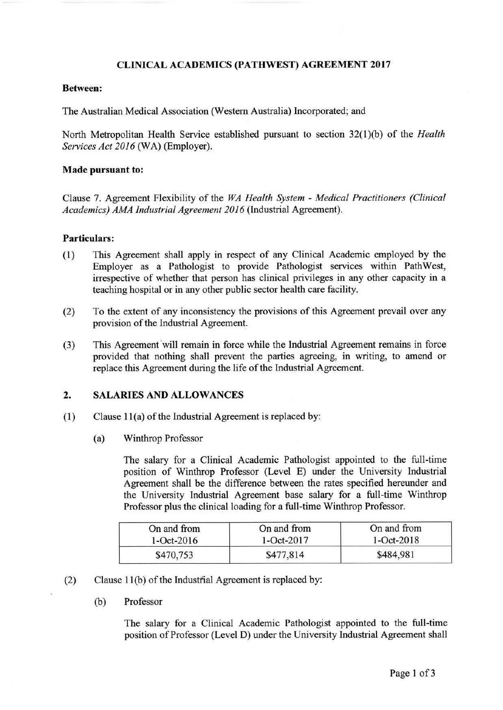### CLINICAL ACADEMICS (PATHWEST) AGREEMENT 2017

#### Between:

The Australian Medical Association (Western Australia) Incorporated; and

North Metropolitan Health Service established pursuant to section 32(1)(b) of the *Health Services Act 2016* (WA) (Employer).

#### Made pursuant to:

Clause 7. Agreement Flexibility of the *WA Health System* - *Medical Practitioners (Clinical Academics) AMA Industrial Agreement 2016* (Industrial Agreement).

### Particulars:

- (1) This Agreement shall apply in respect of any Clinical Academic employed by the Employer as a Pathologist to provide Pathologist services within Path West, irrespective of whether that person has clinical privileges in any other capacity in a teaching hospital or in any other public sector health care facility.
- (2) To the extent of any inconsistency the provisions of this Agreement prevail over any provision of the Industrial Agreement.
- (3) This Agreement 'will remain in force while the Industrial Agreement remains in force provided that nothing shall prevent the parties agreeing, in writing, to amend or replace this Agreement during the life of the Industrial Agreement.

# 2. SALARIES AND ALLOWANCES

- $(1)$  Clause 11(a) of the Industrial Agreement is replaced by:
	- (a) Winthrop Professor

The salary for a Clinical Academic Pathologist appointed to the full-time position of Winthrop Professor (Level E) under the University Industrial Agreement shall be the difference between the rates specified hereunder and the University Industrial Agreement base salary for a full-time Winthrop Professor plus the clinical loading for a full-time Winthrop Professor.

| On and from    | On and from    | On and from    |
|----------------|----------------|----------------|
| $1 - Oct-2016$ | $1 - Oct-2017$ | $1 - Oct-2018$ |
| \$470,753      | \$477,814      | \$484,981      |

- (2) Clause 11 (b) of the lndustfial Agreement is replaced by:
	- (b) Professor

The salary for a Clinical Academic Pathologist appointed to the full-time position of Professor (Level D) under the University Industrial Agreement shall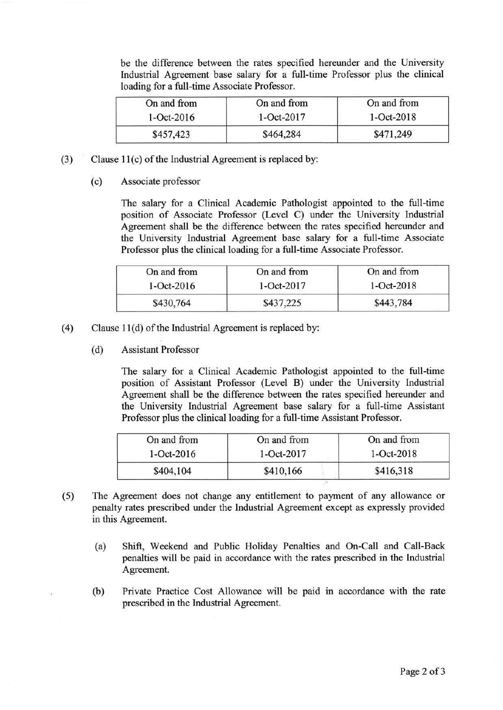be the difference between the rates specified hereunder and the University Industrial Agreement base salary for a full-time Professor plus the clinical loading for a full-time Associate Professor.

| On and from    | On and from    | On and from    |
|----------------|----------------|----------------|
| $1 - Oct-2016$ | $1 - Oct-2017$ | $1 - Oct-2018$ |
| \$457,423      | \$464,284      | \$471,249      |

- (3) Clause 1 l(c) of the Industrial Agreement is replaced by:
	- (c) Associate professor

The salary for a Clinical Academic Pathologist appointed to the full-time position of Associate Professor (Level C) under the University Industrial Agreement shall be the difference between the rates specified hereunder and the University Industrial Agreement base salary for a full-time Associate Professor plus the clinical loading for a full-time Associate Professor.

| On and from    | On and from    | On and from    |
|----------------|----------------|----------------|
| $1 - Oct-2016$ | $1 - Oct-2017$ | $1 - Oct-2018$ |
| \$430,764      | \$437,225      | \$443,784      |

- (4) Clause  $11(d)$  of the Industrial Agreement is replaced by:
	- (d) Assistant Professor

The salary for a Clinical Academic Pathologist appointed to the full-time position of Assistant Professor (Level B) under the University Industrial Agreement shall be the difference between the rates specified hereunder and the University Industrial Agreement base salary for a full-time Assistant Professor plus the clinical loading for a full-time Assistant Professor.

| On and from    | On and from    | On and from    |
|----------------|----------------|----------------|
| $1 - Oct-2016$ | $1 - Oct-2017$ | $1 - Oct-2018$ |
| \$404,104      | \$410,166      | \$416,318      |

- (5) The Agreement does not change any entitlement to payment of any allowance or penalty rates prescribed under the Industrial Agreement except as expressly provided in this Agreement.
	- (a) Shift, Weekend and Public Holiday Penalties and On-Call and Call-Back penalties will be paid in accordance with the rates prescribed in the Industrial Agreement.
	- (b) Private Practice Cost Allowance will be paid in accordance with the rate prescribed in the Industrial Agreement.